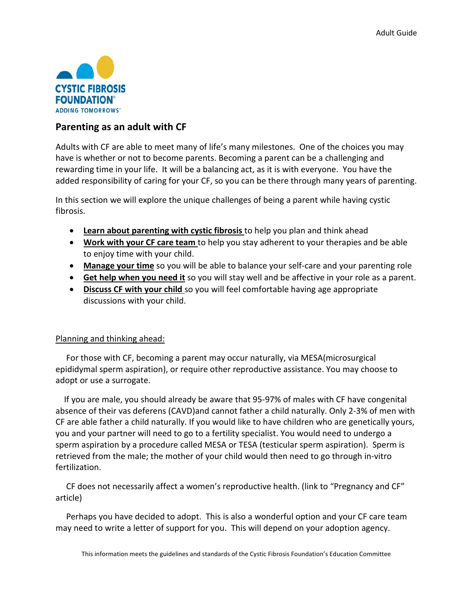

# **Parenting as an adult with CF**

Adults with CF are able to meet many of life's many milestones. One of the choices you may have is whether or not to become parents. Becoming a parent can be a challenging and rewarding time in your life. It will be a balancing act, as it is with everyone. You have the added responsibility of caring for your CF, so you can be there through many years of parenting.

In this section we will explore the unique challenges of being a parent while having cystic fibrosis.

- **Learn about parenting with cystic fibrosis** to help you plan and think ahead
- **Work with your CF care team** to help you stay adherent to your therapies and be able to enjoy time with your child.
- **Manage your time** so you will be able to balance your self-care and your parenting role
- **Get help when you need it** so you will stay well and be affective in your role as a parent.
- **Discuss CF with your child** so you will feel comfortable having age appropriate discussions with your child.

### Planning and thinking ahead:

 For those with CF, becoming a parent may occur naturally, via MESA(microsurgical epididymal sperm aspiration), or require other reproductive assistance. You may choose to adopt or use a surrogate.

 If you are male, you should already be aware that 95-97% of males with CF have congenital absence of their vas deferens (CAVD)and cannot father a child naturally. Only 2-3% of men with CF are able father a child naturally. If you would like to have children who are genetically yours, you and your partner will need to go to a fertility specialist. You would need to undergo a sperm aspiration by a procedure called MESA or TESA (testicular sperm aspiration). Sperm is retrieved from the male; the mother of your child would then need to go through in-vitro fertilization.

 CF does not necessarily affect a women's reproductive health. (link to "Pregnancy and CF" article)

 Perhaps you have decided to adopt. This is also a wonderful option and your CF care team may need to write a letter of support for you. This will depend on your adoption agency.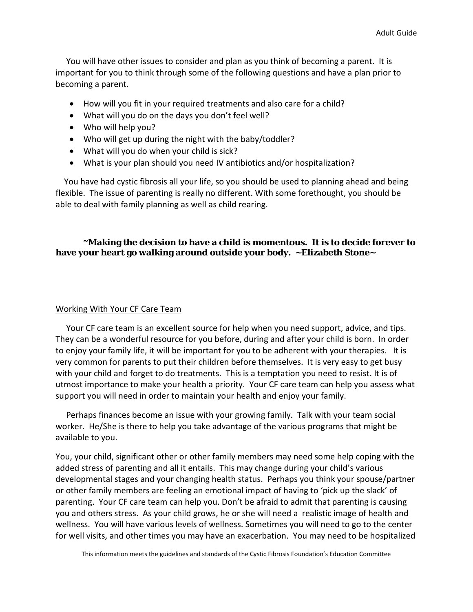You will have other issues to consider and plan as you think of becoming a parent. It is important for you to think through some of the following questions and have a plan prior to becoming a parent.

- How will you fit in your required treatments and also care for a child?
- What will you do on the days you don't feel well?
- Who will help you?
- Who will get up during the night with the baby/toddler?
- What will you do when your child is sick?
- What is your plan should you need IV antibiotics and/or hospitalization?

 You have had cystic fibrosis all your life, so you should be used to planning ahead and being flexible. The issue of parenting is really no different. With some forethought, you should be able to deal with family planning as well as child rearing.

# **~Making the decision to have a child is momentous. It is to decide forever to have your heart go walking around outside your body. ~Elizabeth Stone~**

### Working With Your CF Care Team

 Your CF care team is an excellent source for help when you need support, advice, and tips. They can be a wonderful resource for you before, during and after your child is born. In order to enjoy your family life, it will be important for you to be adherent with your therapies. It is very common for parents to put their children before themselves. It is very easy to get busy with your child and forget to do treatments. This is a temptation you need to resist. It is of utmost importance to make your health a priority. Your CF care team can help you assess what support you will need in order to maintain your health and enjoy your family.

 Perhaps finances become an issue with your growing family. Talk with your team social worker. He/She is there to help you take advantage of the various programs that might be available to you.

You, your child, significant other or other family members may need some help coping with the added stress of parenting and all it entails. This may change during your child's various developmental stages and your changing health status. Perhaps you think your spouse/partner or other family members are feeling an emotional impact of having to 'pick up the slack' of parenting. Your CF care team can help you. Don't be afraid to admit that parenting is causing you and others stress. As your child grows, he or she will need a realistic image of health and wellness. You will have various levels of wellness. Sometimes you will need to go to the center for well visits, and other times you may have an exacerbation. You may need to be hospitalized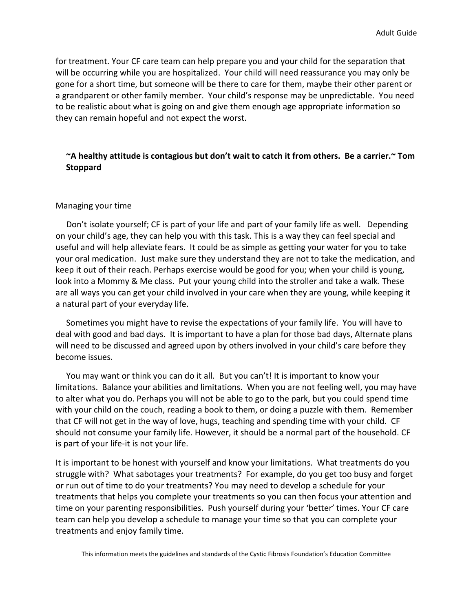for treatment. Your CF care team can help prepare you and your child for the separation that will be occurring while you are hospitalized. Your child will need reassurance you may only be gone for a short time, but someone will be there to care for them, maybe their other parent or a grandparent or other family member. Your child's response may be unpredictable. You need to be realistic about what is going on and give them enough age appropriate information so they can remain hopeful and not expect the worst.

# **~A healthy attitude is contagious but don't wait to catch it from others. Be a carrier.~ Tom Stoppard**

#### Managing your time

 Don't isolate yourself; CF is part of your life and part of your family life as well. Depending on your child's age, they can help you with this task. This is a way they can feel special and useful and will help alleviate fears. It could be as simple as getting your water for you to take your oral medication. Just make sure they understand they are not to take the medication, and keep it out of their reach. Perhaps exercise would be good for you; when your child is young, look into a Mommy & Me class. Put your young child into the stroller and take a walk. These are all ways you can get your child involved in your care when they are young, while keeping it a natural part of your everyday life.

 Sometimes you might have to revise the expectations of your family life. You will have to deal with good and bad days. It is important to have a plan for those bad days, Alternate plans will need to be discussed and agreed upon by others involved in your child's care before they become issues.

 You may want or think you can do it all. But you can't! It is important to know your limitations. Balance your abilities and limitations. When you are not feeling well, you may have to alter what you do. Perhaps you will not be able to go to the park, but you could spend time with your child on the couch, reading a book to them, or doing a puzzle with them. Remember that CF will not get in the way of love, hugs, teaching and spending time with your child. CF should not consume your family life. However, it should be a normal part of the household. CF is part of your life-it is not your life.

It is important to be honest with yourself and know your limitations. What treatments do you struggle with? What sabotages your treatments? For example, do you get too busy and forget or run out of time to do your treatments? You may need to develop a schedule for your treatments that helps you complete your treatments so you can then focus your attention and time on your parenting responsibilities. Push yourself during your 'better' times. Your CF care team can help you develop a schedule to manage your time so that you can complete your treatments and enjoy family time.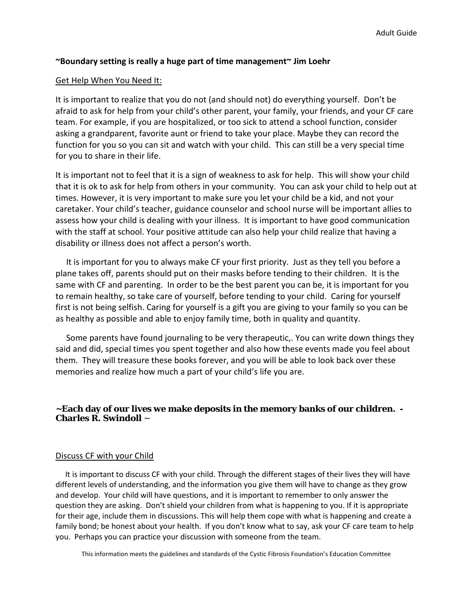### **~Boundary setting is really a huge part of time management~ Jim Loehr**

### Get Help When You Need It:

It is important to realize that you do not (and should not) do everything yourself. Don't be afraid to ask for help from your child's other parent, your family, your friends, and your CF care team. For example, if you are hospitalized, or too sick to attend a school function, consider asking a grandparent, favorite aunt or friend to take your place. Maybe they can record the function for you so you can sit and watch with your child. This can still be a very special time for you to share in their life.

It is important not to feel that it is a sign of weakness to ask for help. This will show your child that it is ok to ask for help from others in your community. You can ask your child to help out at times. However, it is very important to make sure you let your child be a kid, and not your caretaker. Your child's teacher, guidance counselor and school nurse will be important allies to assess how your child is dealing with your illness. It is important to have good communication with the staff at school. Your positive attitude can also help your child realize that having a disability or illness does not affect a person's worth.

 It is important for you to always make CF your first priority. Just as they tell you before a plane takes off, parents should put on their masks before tending to their children. It is the same with CF and parenting. In order to be the best parent you can be, it is important for you to remain healthy, so take care of yourself, before tending to your child. Caring for yourself first is not being selfish. Caring for yourself is a gift you are giving to your family so you can be as healthy as possible and able to enjoy family time, both in quality and quantity.

 Some parents have found journaling to be very therapeutic,. You can write down things they said and did, special times you spent together and also how these events made you feel about them. They will treasure these books forever, and you will be able to look back over these memories and realize how much a part of your child's life you are.

### **~Each day of our lives we make deposits in the memory banks of our children. - Charles R. Swindoll** *~*

#### Discuss CF with your Child

 It is important to discuss CF with your child. Through the different stages of their lives they will have different levels of understanding, and the information you give them will have to change as they grow and develop. Your child will have questions, and it is important to remember to only answer the question they are asking. Don't shield your children from what is happening to you. If it is appropriate for their age, include them in discussions. This will help them cope with what is happening and create a family bond; be honest about your health. If you don't know what to say, ask your CF care team to help you. Perhaps you can practice your discussion with someone from the team.

This information meets the guidelines and standards of the Cystic Fibrosis Foundation's Education Committee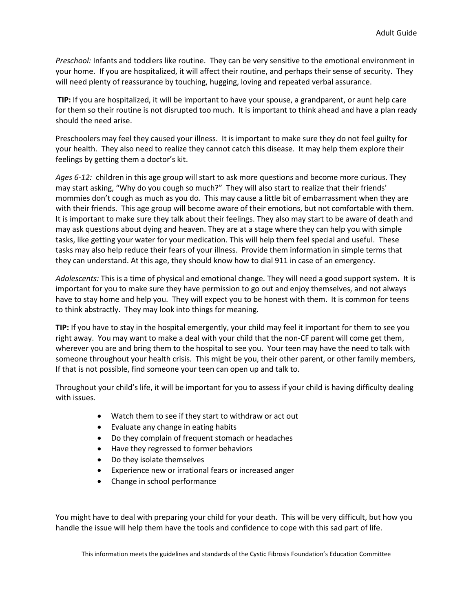*Preschool:* Infants and toddlers like routine. They can be very sensitive to the emotional environment in your home. If you are hospitalized, it will affect their routine, and perhaps their sense of security. They will need plenty of reassurance by touching, hugging, loving and repeated verbal assurance.

**TIP:** If you are hospitalized, it will be important to have your spouse, a grandparent, or aunt help care for them so their routine is not disrupted too much. It is important to think ahead and have a plan ready should the need arise.

Preschoolers may feel they caused your illness. It is important to make sure they do not feel guilty for your health. They also need to realize they cannot catch this disease. It may help them explore their feelings by getting them a doctor's kit.

*Ages 6-12:* children in this age group will start to ask more questions and become more curious. They may start asking, "Why do you cough so much?" They will also start to realize that their friends' mommies don't cough as much as you do. This may cause a little bit of embarrassment when they are with their friends. This age group will become aware of their emotions, but not comfortable with them. It is important to make sure they talk about their feelings. They also may start to be aware of death and may ask questions about dying and heaven. They are at a stage where they can help you with simple tasks, like getting your water for your medication. This will help them feel special and useful. These tasks may also help reduce their fears of your illness. Provide them information in simple terms that they can understand. At this age, they should know how to dial 911 in case of an emergency.

*Adolescents:* This is a time of physical and emotional change. They will need a good support system. It is important for you to make sure they have permission to go out and enjoy themselves, and not always have to stay home and help you. They will expect you to be honest with them. It is common for teens to think abstractly. They may look into things for meaning.

**TIP:** If you have to stay in the hospital emergently, your child may feel it important for them to see you right away. You may want to make a deal with your child that the non-CF parent will come get them, wherever you are and bring them to the hospital to see you. Your teen may have the need to talk with someone throughout your health crisis. This might be you, their other parent, or other family members, If that is not possible, find someone your teen can open up and talk to.

Throughout your child's life, it will be important for you to assess if your child is having difficulty dealing with issues.

- Watch them to see if they start to withdraw or act out
- Evaluate any change in eating habits
- Do they complain of frequent stomach or headaches
- Have they regressed to former behaviors
- Do they isolate themselves
- Experience new or irrational fears or increased anger
- Change in school performance

You might have to deal with preparing your child for your death. This will be very difficult, but how you handle the issue will help them have the tools and confidence to cope with this sad part of life.